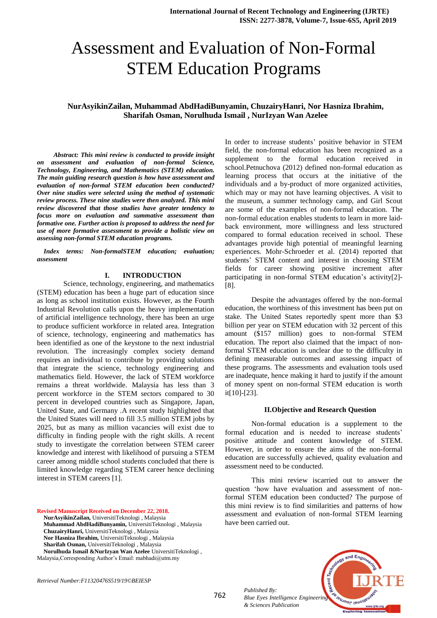# Assessment and Evaluation of Non-Formal STEM Education Programs

# **NurAsyikinZailan, Muhammad AbdHadiBunyamin, ChuzairyHanri, Nor Hasniza Ibrahim, Sharifah Osman, Norulhuda Ismail , NurIzyan Wan Azelee**

 *Abstract: This mini review is conducted to provide insight on assessment and evaluation of non-formal Science, Technology, Engineering, and Mathematics (STEM) education. The main guiding research question is how have assessment and evaluation of non-formal STEM education been conducted? Over nine studies were selected using the method of systematic review process. These nine studies were then analyzed. This mini review discovered that those studies have greater tendency to focus more on evaluation and summative assessment than formative one. Further action is proposed to address the need for use of more formative assessment to provide a holistic view on assessing non-formal STEM education programs.*

 *Index terms: Non-formalSTEM education; evaluation; assessment*

#### **I. INTRODUCTION**

Science, technology, engineering, and mathematics (STEM) education has been a huge part of education since as long as school institution exists. However, as the Fourth Industrial Revolution calls upon the heavy implementation of artificial intelligence technology, there has been an urge to produce sufficient workforce in related area. Integration of science, technology, engineering and mathematics has been identified as one of the keystone to the next industrial revolution. The increasingly complex society demand requires an individual to contribute by providing solutions that integrate the science, technology engineering and mathematics field. However, the lack of STEM workforce remains a threat worldwide. Malaysia has less than 3 percent workforce in the STEM sectors compared to 30 percent in developed countries such as Singapore, Japan, United State, and Germany .A recent study highlighted that the United States will need to fill 3.5 million STEM jobs by 2025, but as many as million vacancies will exist due to difficulty in finding people with the right skills. A recent study to investigate the correlation between STEM career knowledge and interest with likelihood of pursuing a STEM career among middle school students concluded that there is limited knowledge regarding STEM career hence declining interest in STEM careers [1].

**Revised Manuscript Received on December 22, 2018.** 

**NurAsyikinZailan,** UniversitiTeknologi , Malaysia **Muhammad AbdHadiBunyamin,** UniversitiTeknologi , Malaysia **ChuzairyHanri,** UniversitiTeknologi , Malaysia **Nor Hasniza Ibrahim,** UniversitiTeknologi , Malaysia

**Sharifah Osman,** UniversitiTeknologi , Malaysia

**Norulhuda Ismail &NurIzyan Wan Azelee** UniversitiTeknologi , Malaysia,Corresponding Author's Email: mabhadi@utm.my

*Retrieval Number:F11320476S519/19©BEIESP*

In order to increase students' positive behavior in STEM field, the non-formal education has been recognized as a supplement to the formal education received in school.Petnuchova (2012) defined non-formal education as learning process that occurs at the initiative of the individuals and a by-product of more organized activities, which may or may not have learning objectives. A visit to the museum, a summer technology camp, and Girl Scout are some of the examples of non-formal education. The non-formal education enables students to learn in more laidback environment, more willingness and less structured compared to formal education received in school. These advantages provide high potential of meaningful learning experiences. Mohr-Schroeder et al. (2014) reported that students' STEM content and interest in choosing STEM fields for career showing positive increment after participating in non-formal STEM education's activity[2]- [8].

Despite the advantages offered by the non-formal education, the worthiness of this investment has been put on stake. The United States reportedly spent more than \$3 billion per year on STEM education with 32 percent of this amount (\$157 million) goes to non-formal STEM education. The report also claimed that the impact of nonformal STEM education is unclear due to the difficulty in defining measurable outcomes and assessing impact of these programs. The assessments and evaluation tools used are inadequate, hence making it hard to justify if the amount of money spent on non-formal STEM education is worth it[10]-[23].

## **II.Objective and Research Question**

Non-formal education is a supplement to the formal education and is needed to increase students' positive attitude and content knowledge of STEM. However, in order to ensure the aims of the non-formal education are successfully achieved, quality evaluation and assessment need to be conducted.

This mini review iscarried out to answer the question 'how have evaluation and assessment of nonformal STEM education been conducted? The purpose of this mini review is to find similarities and patterns of how assessment and evaluation of non-formal STEM learning have been carried out.

*Published By: Blue Eyes Intelligence Engineering & Sciences Publication* 



762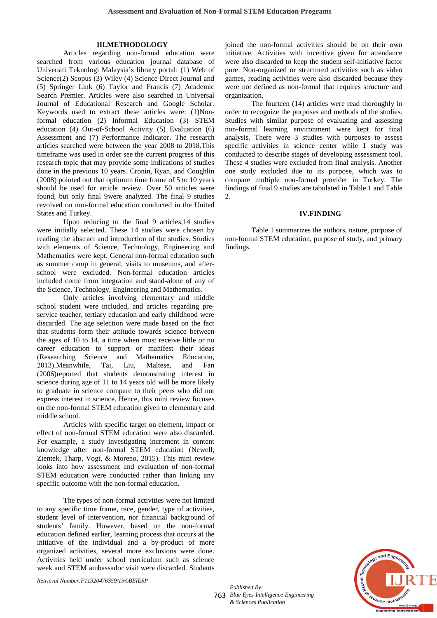# **III.METHODOLOGY**

Articles regarding non-formal education were searched from various education journal database of Universiti Teknologi Malaysia's library portal: (1) Web of Science(2) Scopus (3) Wiley (4) Science Direct Journal and (5) Springer Link (6) Taylor and Francis (7) Academic Search Premier. Articles were also searched in Universal Journal of Educational Research and Google Scholar. Keywords used to extract these articles were: (1)Nonformal education (2) Informal Education (3) STEM education (4) Out-of-School Activity (5) Evaluation (6) Assessment and (7) Performance Indicator. The research articles searched were between the year 2008 to 2018.This timeframe was used in order see the current progress of this research topic that may provide some indications of studies done in the previous 10 years. Cronin, Ryan, and Coughlin (2008) pointed out that optimum time frame of 5 to 10 years should be used for article review. Over 50 articles were found, but only final 9were analyzed. The final 9 studies revolved on non-formal education conducted in the United States and Turkey.

Upon reducing to the final 9 articles,14 studies were initially selected. These 14 studies were chosen by reading the abstract and introduction of the studies. Studies with elements of Science, Technology, Engineering and Mathematics were kept. General non-formal education such as summer camp in general, visits to museums, and afterschool were excluded. Non-formal education articles included come from integration and stand-alone of any of the Science, Technology, Engineering and Mathematics.

Only articles involving elementary and middle school student were included, and articles regarding preservice teacher, tertiary education and early childhood were discarded. The age selection were made based on the fact that students form their attitude towards science between the ages of 10 to 14, a time when most receive little or no career education to support or manifest their ideas (Researching Science and Mathematics Education, 2013).Meanwhile, Tai, Liu, Maltese, and Fan (2006)reported that students demonstrating interest in science during age of 11 to 14 years old will be more likely to graduate in science compare to their peers who did not express interest in science. Hence, this mini review focuses on the non-formal STEM education given to elementary and middle school.

Articles with specific target on element, impact or effect of non-formal STEM education were also discarded. For example, a study investigating increment in content knowledge after non-formal STEM education (Newell, Zientek, Tharp, Vogt, & Moreno, 2015). This mini review looks into how assessment and evaluation of non-formal STEM education were conducted rather than linking any specific outcome with the non-formal education.

The types of non-formal activities were not limited to any specific time frame, race, gender, type of activities, student level of intervention, nor financial background of students' family. However, based on the non-formal education defined earlier, learning process that occurs at the initiative of the individual and a by-product of more organized activities, several more exclusions were done. Activities held under school curriculum such as science week and STEM ambassador visit were discarded. Students

joined the non-formal activities should be on their own initiative. Activities with incentive given for attendance were also discarded to keep the student self-initiative factor pure. Non-organized or structured activities such as video games, reading activities were also discarded because they were not defined as non-formal that requires structure and organization.

The fourteen (14) articles were read thoroughly in order to recognize the purposes and methods of the studies. Studies with similar purpose of evaluating and assessing non-formal learning environment were kept for final analysis. There were 3 studies with purposes to assess specific activities in science center while 1 study was conducted to describe stages of developing assessment tool. These 4 studies were excluded from final analysis. Another one study excluded due to its purpose, which was to compare multiple non-formal provider in Turkey. The findings of final 9 studies are tabulated in Table 1 and Table  $\mathcal{D}$ 

# **IV.FINDING**

Table 1 summarizes the authors, nature, purpose of non-formal STEM education, purpose of study, and primary findings.

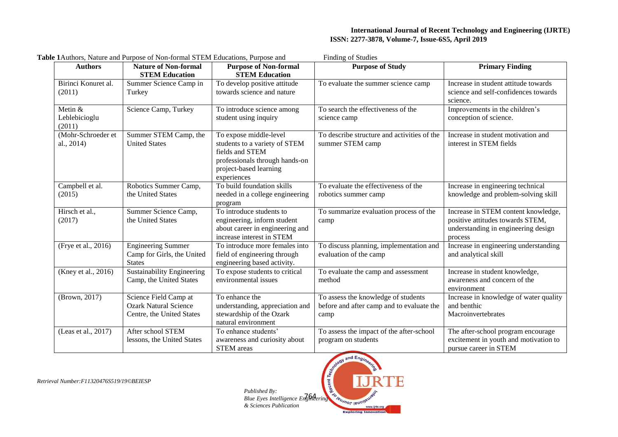# **International Journal of Recent Technology and Engineering (IJRTE) ISSN: 2277-3878, Volume-7, Issue-6S5, April 2019**

|                                      | <b>Table 1</b> Authors, Nature and Purpose of Non-formal STEM Educations, Purpose and |                                                                                                                                                       | <b>Finding of Studies</b>                                                                |                                                                                                                           |
|--------------------------------------|---------------------------------------------------------------------------------------|-------------------------------------------------------------------------------------------------------------------------------------------------------|------------------------------------------------------------------------------------------|---------------------------------------------------------------------------------------------------------------------------|
| <b>Authors</b>                       | <b>Nature of Non-formal</b><br><b>STEM Education</b>                                  | <b>Purpose of Non-formal</b><br><b>STEM Education</b>                                                                                                 | <b>Purpose of Study</b>                                                                  | <b>Primary Finding</b>                                                                                                    |
| Birinci Konuret al.<br>(2011)        | Summer Science Camp in<br>Turkey                                                      | To develop positive attitude<br>towards science and nature                                                                                            | To evaluate the summer science camp                                                      | Increase in student attitude towards<br>science and self-confidences towards<br>science.                                  |
| Metin $&$<br>Leblebicioglu<br>(2011) | Science Camp, Turkey                                                                  | To introduce science among<br>student using inquiry                                                                                                   | To search the effectiveness of the<br>science camp                                       | Improvements in the children's<br>conception of science.                                                                  |
| (Mohr-Schroeder et<br>al., 2014)     | Summer STEM Camp, the<br><b>United States</b>                                         | To expose middle-level<br>students to a variety of STEM<br>fields and STEM<br>professionals through hands-on<br>project-based learning<br>experiences | To describe structure and activities of the<br>summer STEM camp                          | Increase in student motivation and<br>interest in STEM fields                                                             |
| Campbell et al.<br>(2015)            | Robotics Summer Camp,<br>the United States                                            | To build foundation skills<br>needed in a college engineering<br>program                                                                              | To evaluate the effectiveness of the<br>robotics summer camp                             | Increase in engineering technical<br>knowledge and problem-solving skill                                                  |
| Hirsch et al.,<br>(2017)             | Summer Science Camp,<br>the United States                                             | To introduce students to<br>engineering, inform student<br>about career in engineering and<br>increase interest in STEM                               | To summarize evaluation process of the<br>camp                                           | Increase in STEM content knowledge,<br>positive attitudes towards STEM,<br>understanding in engineering design<br>process |
| (Frye et al., 2016)                  | <b>Engineering Summer</b><br>Camp for Girls, the United<br><b>States</b>              | To introduce more females into<br>field of engineering through<br>engineering based activity.                                                         | To discuss planning, implementation and<br>evaluation of the camp                        | Increase in engineering understanding<br>and analytical skill                                                             |
| (Kney et al., 2016)                  | <b>Sustainability Engineering</b><br>Camp, the United States                          | To expose students to critical<br>environmental issues                                                                                                | To evaluate the camp and assessment<br>method                                            | Increase in student knowledge,<br>awareness and concern of the<br>environment                                             |
| (Brown, 2017)                        | Science Field Camp at<br><b>Ozark Natural Science</b><br>Centre, the United States    | To enhance the<br>understanding, appreciation and<br>stewardship of the Ozark<br>natural environment                                                  | To assess the knowledge of students<br>before and after camp and to evaluate the<br>camp | Increase in knowledge of water quality<br>and benthic<br>Macroinvertebrates                                               |
| (Leas et al., 2017)                  | After school STEM<br>lessons, the United States                                       | To enhance students'<br>awareness and curiosity about<br><b>STEM</b> areas                                                                            | To assess the impact of the after-school<br>program on students                          | The after-school program encourage<br>excitement in youth and motivation to<br>pursue career in STEM                      |

*Retrieval Number:F11320476S519/19©BEIESP*



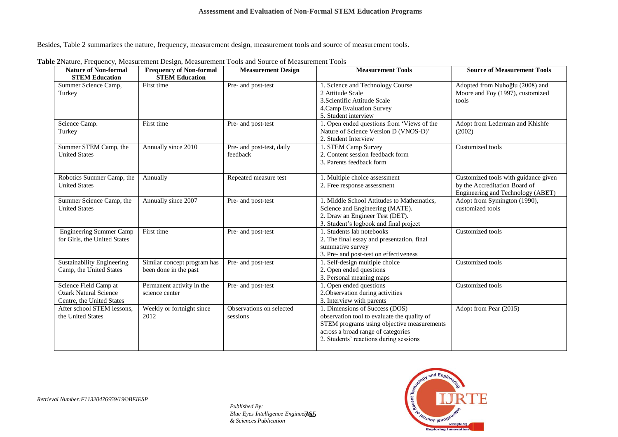Besides, Table 2 summarizes the nature, frequency, measurement design, measurement tools and source of measurement tools.

| <b>Nature of Non-formal</b><br><b>STEM Education</b>                               | <b>Frequency of Non-formal</b><br><b>STEM Education</b> | <b>Measurement Design</b>             | <b>Measurement Tools</b>                                                                                                                                                                                    | <b>Source of Measurement Tools</b>                                                                         |
|------------------------------------------------------------------------------------|---------------------------------------------------------|---------------------------------------|-------------------------------------------------------------------------------------------------------------------------------------------------------------------------------------------------------------|------------------------------------------------------------------------------------------------------------|
| Summer Science Camp,<br>Turkey                                                     | First time                                              | Pre- and post-test                    | 1. Science and Technology Course<br>2 Attitude Scale<br>3. Scientific Attitude Scale<br>4. Camp Evaluation Survey<br>5. Student interview                                                                   | Adopted from Nuhoğlu (2008) and<br>Moore and Foy (1997), customized<br>tools                               |
| Science Camp.<br>Turkey                                                            | First time                                              | Pre- and post-test                    | 1. Open ended questions from 'Views of the<br>Nature of Science Version D (VNOS-D)'<br>2. Student Interview                                                                                                 | Adopt from Lederman and Khishfe<br>(2002)                                                                  |
| Summer STEM Camp, the<br><b>United States</b>                                      | Annually since 2010                                     | Pre- and post-test, daily<br>feedback | 1. STEM Camp Survey<br>2. Content session feedback form<br>3. Parents feedback form                                                                                                                         | Customized tools                                                                                           |
| Robotics Summer Camp, the<br><b>United States</b>                                  | Annually                                                | Repeated measure test                 | 1. Multiple choice assessment<br>2. Free response assessment                                                                                                                                                | Customized tools with guidance given<br>by the Accreditation Board of<br>Engineering and Technology (ABET) |
| Summer Science Camp, the<br><b>United States</b>                                   | Annually since 2007                                     | Pre- and post-test                    | 1. Middle School Attitudes to Mathematics,<br>Science and Engineering (MATE).<br>2. Draw an Engineer Test (DET).<br>3. Student's logbook and final project                                                  | Adopt from Symington (1990),<br>customized tools                                                           |
| <b>Engineering Summer Camp</b><br>for Girls, the United States                     | First time                                              | Pre- and post-test                    | 1. Students lab notebooks<br>2. The final essay and presentation, final<br>summative survey<br>3. Pre- and post-test on effectiveness                                                                       | Customized tools                                                                                           |
| Sustainability Engineering<br>Camp, the United States                              | Similar concept program has<br>been done in the past    | Pre- and post-test                    | 1. Self-design multiple choice<br>2. Open ended questions<br>3. Personal meaning maps                                                                                                                       | Customized tools                                                                                           |
| Science Field Camp at<br><b>Ozark Natural Science</b><br>Centre, the United States | Permanent activity in the<br>science center             | Pre- and post-test                    | 1. Open ended questions<br>2. Observation during activities<br>3. Interview with parents                                                                                                                    | Customized tools                                                                                           |
| After school STEM lessons,<br>the United States                                    | Weekly or fortnight since<br>2012                       | Observations on selected<br>sessions  | 1. Dimensions of Success (DOS)<br>observation tool to evaluate the quality of<br>STEM programs using objective measurements<br>across a broad range of categories<br>2. Students' reactions during sessions | Adopt from Pear (2015)                                                                                     |

**Table 2**Nature, Frequency, Measurement Design, Measurement Tools and Source of Measurement Tools

*Retrieval Number:F11320476S59/19©BEIESP*

765 *Blue Eyes Intelligence Engineering Published By: & Sciences Publication* 

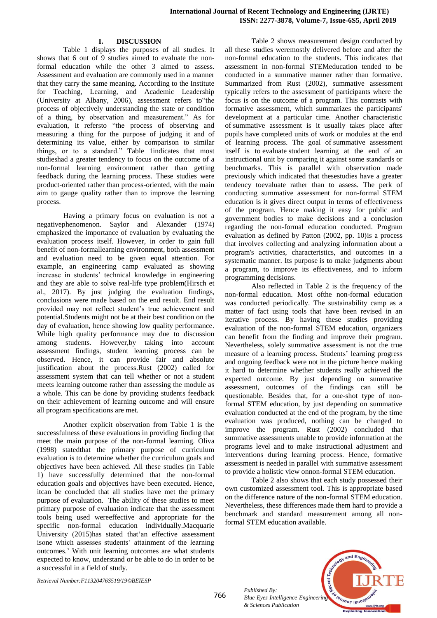# **I. DISCUSSION**

Table 1 displays the purposes of all studies. It shows that 6 out of 9 studies aimed to evaluate the nonformal education while the other 3 aimed to assess. Assessment and evaluation are commonly used in a manner that they carry the same meaning. According to the Institute for Teaching, Learning, and Academic Leadership (University at Albany, 2006), assessment refers to"the process of objectively understanding the state or condition of a thing, by observation and measurement." As for evaluation, it refersto "the process of observing and measuring a thing for the purpose of judging it and of determining its value, either by comparison to similar things, or to a standard." Table 1indicates that most studieshad a greater tendency to focus on the outcome of a non-formal learning environment rather than getting feedback during the learning process. These studies were product-oriented rather than process-oriented, with the main aim to gauge quality rather than to improve the learning process.

Having a primary focus on evaluation is not a negativephenomenon. Saylor and Alexander (1974) emphasized the importance of evaluation by evaluating the evaluation process itself. However, in order to gain full benefit of non-formallearning environment, both assessment and evaluation need to be given equal attention. For example, an engineering camp evaluated as showing increase in students' technical knowledge in engineering and they are able to solve real-life type problem(Hirsch et al., 2017). By just judging the evaluation findings, conclusions were made based on the end result. End result provided may not reflect student's true achievement and potential.Students might not be at their best condition on the day of evaluation, hence showing low quality performance. While high quality performance may due to discussion among students. However,by taking into account assessment findings, student learning process can be observed. Hence, it can provide fair and absolute justification about the process.Rust (2002) called for assessment system that can tell whether or not a student meets learning outcome rather than assessing the module as a whole. This can be done by providing students feedback on their achievement of learning outcome and will ensure all program specifications are met.

Another explicit observation from Table 1 is the successfulness of these evaluations in providing finding that meet the main purpose of the non-formal learning. Oliva (1998) statedthat the primary purpose of curriculum evaluation is to determine whether the curriculum goals and objectives have been achieved. All these studies (in Table 1) have successfully determined that the non-formal education goals and objectives have been executed. Hence, itcan be concluded that all studies have met the primary purpose of evaluation. The ability of these studies to meet primary purpose of evaluation indicate that the assessment tools being used wereeffective and appropriate for the specific non-formal education individually.Macquarie University (2015)has stated that'an effective assessment isone which assesses students' attainment of the learning outcomes.' With unit learning outcomes are what students expected to know, understand or be able to do in order to be a successful in a field of study.

Table 2 shows measurement design conducted by all these studies weremostly delivered before and after the non-formal education to the students. This indicates that assessment in non-formal STEMeducation tended to be conducted in a summative manner rather than formative. Summarized from Rust (2002), summative assessment typically refers to the assessment of participants where the focus is on the outcome of a program. This contrasts with formative assessment, which summarizes the participants' development at a particular time. Another characteristic of summative assessment is it usually takes place after pupils have completed units of work or modules at the end of learning process. The goal of summative assessment itself is to evaluate student learning at the end of an instructional unit by comparing it against some standards or benchmarks. This is parallel with observation made previously which indicated that thesestudies have a greater tendency toevaluate rather than to assess. The perk of conducting summative assessment for non-formal STEM education is it gives direct output in terms of effectiveness of the program. Hence making it easy for public and government bodies to make decisions and a conclusion regarding the non-formal education conducted. Program evaluation as defined by Patton (2002, pp. 10)is a process that involves collecting and analyzing information about a program's activities, characteristics, and outcomes in a systematic manner. Its purpose is to make judgments about a program, to improve its effectiveness, and to inform programming decisions.

Also reflected in Table 2 is the frequency of the non-formal education. Most ofthe non-formal education was conducted periodically. The sustainability camp as a matter of fact using tools that have been revised in an iterative process. By having these studies providing evaluation of the non-formal STEM education, organizers can benefit from the finding and improve their program. Nevertheless, solely summative assessment is not the true measure of a learning process. Students' learning progress and ongoing feedback were not in the picture hence making it hard to determine whether students really achieved the expected outcome. By just depending on summative assessment, outcomes of the findings can still be questionable. Besides that, for a one-shot type of nonformal STEM education, by just depending on summative evaluation conducted at the end of the program, by the time evaluation was produced, nothing can be changed to improve the program. Rust (2002) concluded that summative assessments unable to provide information at the programs level and to make instructional adjustment and interventions during learning process. Hence, formative assessment is needed in parallel with summative assessment to provide a holistic view onnon-formal STEM education.

Table 2 also shows that each study possessed their own customized assessment tool. This is appropriate based on the difference nature of the non-formal STEM education. Nevertheless, these differences made them hard to provide a benchmark and standard measurement among all nonformal STEM education available.

*Published By: Blue Eyes Intelligence Engineering & Sciences Publication* 



*Retrieval Number:F11320476S519/19©BEIESP*

766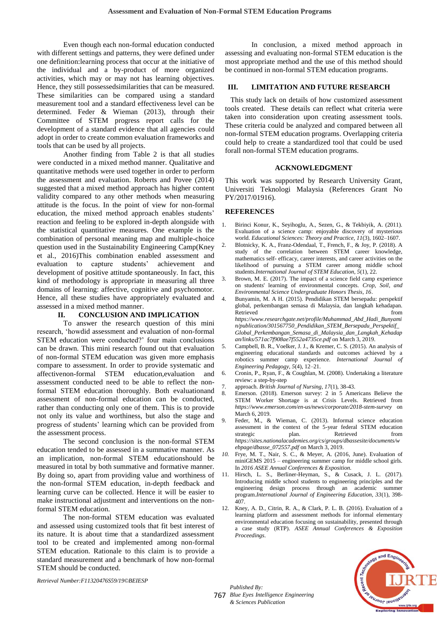Even though each non-formal education conducted with different settings and patterns, they were defined under one definition:learning process that occur at the initiative of the individual and a by-product of more organized activities, which may or may not has learning objectives. Hence, they still possessedsimilarities that can be measured. These similarities can be compared using a standard measurement tool and a standard effectiveness level can be determined. Feder & Wieman (2013), through their Committee of STEM progress report calls for the development of a standard evidence that all agencies could adopt in order to create common evaluation frameworks and tools that can be used by all projects.

Another finding from Table 2 is that all studies were conducted in a mixed method manner. Qualitative and quantitative methods were used together in order to perform the assessment and evaluation. Roberts and Povee (2014) suggested that a mixed method approach has higher content validity compared to any other methods when measuring attitude is the focus. In the point of view for non-formal education, the mixed method approach enables students' reaction and feeling to be explored in-depth alongside with the statistical quantitative measures. One example is the combination of personal meaning map and multiple-choice question used in the Sustainability Engineering Camp(Kney et al., 2016)This combination enabled assessment and evaluation to capture students' achievement and development of positive attitude spontaneously. In fact, this kind of methodology is appropriate in measuring all three domains of learning: affective, cognitive and psychomotor. Hence, all these studies have appropriately evaluated and assessed in a mixed method manner.

## **II. CONCLUSION AND IMPLICATION**

To answer the research question of this mini research, 'howdid assessment and evaluation of non-formal STEM education were conducted?' four main conclusions can be drawn. This mini research found out that evaluation of non-formal STEM education was given more emphasis compare to assessment. In order to provide systematic and affectivenon-formal STEM education,evaluation and assessment conducted need to be able to reflect the nonformal STEM education thoroughly. Both evaluationand assessment of non-formal education can be conducted, rather than conducting only one of them. This is to provide not only its value and worthiness, but also the stage and progress of students' learning which can be provided from the assessment process.

The second conclusion is the non-formal STEM education tended to be assessed in a summative manner. As an implication, non-formal STEM educationshould be measured in total by both summative and formative manner. By doing so, apart from providing value and worthiness of the non-formal STEM education, in-depth feedback and learning curve can be collected. Hence it will be easier to make instructional adjustment and interventions on the nonformal STEM education.

The non-formal STEM education was evaluated and assessed using customized tools that fit best interest of its nature. It is about time that a standardized assessment tool to be created and implemented among non-formal STEM education. Rationale to this claim is to provide a standard measurement and a benchmark of how non-formal STEM should be conducted.

In conclusion, a mixed method approach in assessing and evaluating non-formal STEM education is the most appropriate method and the use of this method should be continued in non-formal STEM education programs.

## **III. LIMITATION AND FUTURE RESEARCH**

 This study lack on details of how customized assessment tools created. These details can reflect what criteria were taken into consideration upon creating assessment tools. These criteria could be analyzed and compared between all non-formal STEM education programs. Overlapping criteria could help to create a standardized tool that could be used forall non-formal STEM education programs.

#### **ACKNOWLEDGMENT**

This work was supported by Research University Grant, Universiti Teknologi Malaysia (References Grant No PY/2017/01916).

## **REFERENCES**

- Birinci Konur, K., Seyihoglu, A., Sezen, G., & Tekbiyik, A. (2011). Evaluation of a science camp: enjoyable discovery of mysterious world. *Educational Sciences: Theory and Practice, 11*(3), 1602–1607.
- 2. Blotnicky, K. A., Franz-Odendaal, T., French, F., & Joy, P. (2018). A study of the correlation between STEM career knowledge, mathematics self- efficacy, career interests, and career activities on the likelihood of pursuing a STEM career among middle school students.*International Journal of STEM Education, 5*(1), 22.
- 3. Brown, M. E. (2017). The impact of a science field camp experience on students' learning of environmental concepts. *Crop, Soil, and Environmental Science Undergraduate Honors Thesis, 16*.
- 4. Bunyamin, M. A H. (2015). Pendidikan STEM bersepadu: perspektif global, perkembangan semasa di Malaysia, dan langkah kehadapan. Retrieved from the state of  $\sim$  from the state of  $\sim$  from the state of  $\sim$  from the state of  $\sim$  from the state of  $\sim$  from the state of  $\sim$  500  $\mu$  state of  $\sim$  500  $\mu$  state of  $\sim$  500  $\mu$  state of  $\sim$  500 *https://www.researchgate.net/profile/Muhammad\_Abd\_Hadi\_Bunyami n/publication/301567750\_Pendidikan\_STEM\_Bersepadu\_Perspektif\_ Global\_Perkembangan\_Semasa\_di\_Malaysia\_dan\_Langkah\_Kehadap an/links/571ac7f908ae7f552a4735ce.pdf* on March 3, 2019. 5. Campbell, B. R., Voelker, J. J., & Kremer, C. S. (2015). An analysis of
- engineering educational standards and outcomes achieved by a robotics summer camp experience. *International Journal of Engineering Pedagogy,*  $5(4)$ ,  $12-21$ .
- 6. Cronin, P., Ryan, F., & Coughlan, M. (2008). Undertaking a literature review: a step-by-step
- 7. approach. *British Journal of Nursing, 17*(1), 38-43.
- 8. Emerson. (2018). Emerson survey: 2 in 5 Americans Believe the STEM Worker Shortage is at Crisis Levels. Retrieved from *https://www.emerson.com/en-us/news/corporate/2018-stem-survey* on March 6, 2019.
- 9. Feder, M., & Wieman, C. (2013). Informal science education assessment in the context of the 5-year federal STEM education strategic plan. Retrieved from strategic plan. Retrieved from *https://sites.nationalacademies.org/cs/groups/dbassesite/documents/w ebpage/dbasse\_072557.pdf* on March 3, 2019.
- *10.* Frye, M. T., Nair, S. C., & Meyer, A. (2016, June). Evaluation of miniGEMS 2015 – engineering summer camp for middle school girls. In *2016 ASEE Annual Conferences & Exposition.*
- 11. Hirsch, L. S., Berliner-Heyman, S., & Cusack, J. L. (2017). Introducing middle school students to engineering principles and the engineering design process through an academic summer program.*International Journal of Engineering Education, 33*(1), 398- 407.
- 12. Kney, A. D., Citrin, R. A., & Clark, P. L. B. (2016). Evaluation of a learning platform and assessment methods for informal elementary environmental education focusing on sustainability, presented through a case study (RTP). *ASEE Annual Conferences & Exposition Proceedings*.



*Retrieval Number:F11320476S59/19©BEIESP*

767 *Blue Eyes Intelligence Engineering Published By: & Sciences Publication*